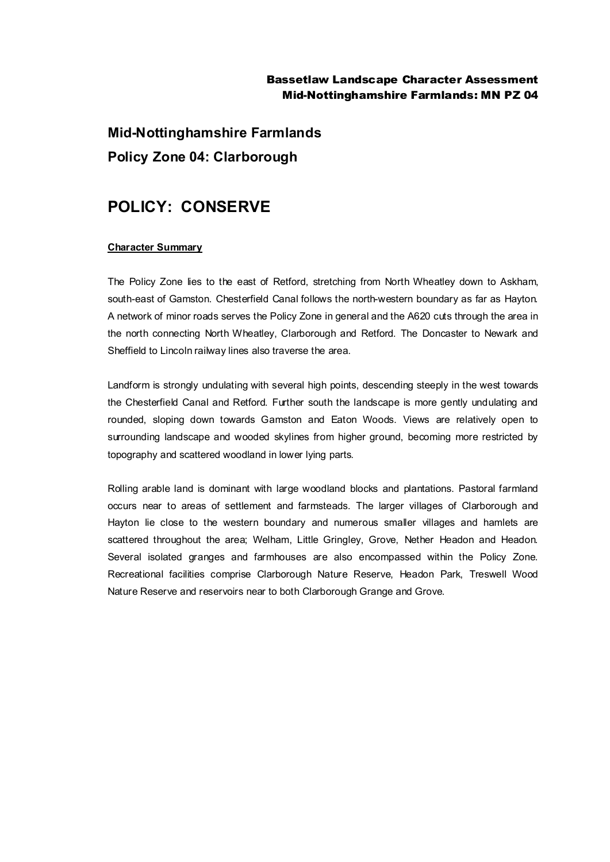## Bassetlaw Landscape Character Assessment Mid-Nottinghamshire Farmlands: MN PZ 04

**Mid-Nottinghamshire Farmlands Policy Zone 04: Clarborough**

## **POLICY: CONSERVE**

## **Character Summary**

The Policy Zone lies to the east of Retford, stretching from North Wheatley down to Askham, south-east of Gamston. Chesterfield Canal follows the north-western boundary as far as Hayton. A network of minor roads serves the Policy Zone in general and the A620 cuts through the area in the north connecting North Wheatley, Clarborough and Retford. The Doncaster to Newark and Sheffield to Lincoln railway lines also traverse the area.

Landform is strongly undulating with several high points, descending steeply in the west towards the Chesterfield Canal and Retford. Further south the landscape is more gently undulating and rounded, sloping down towards Gamston and Eaton Woods. Views are relatively open to surrounding landscape and wooded skylines from higher ground, becoming more restricted by topography and scattered woodland in lower lying parts.

Rolling arable land is dominant with large woodland blocks and plantations. Pastoral farmland occurs near to areas of settlement and farmsteads. The larger villages of Clarborough and Hayton lie close to the western boundary and numerous smaller villages and hamlets are scattered throughout the area; Welham, Little Gringley, Grove, Nether Headon and Headon. Several isolated granges and farmhouses are also encompassed within the Policy Zone. Recreational facilities comprise Clarborough Nature Reserve, Headon Park, Treswell Wood Nature Reserve and reservoirs near to both Clarborough Grange and Grove.